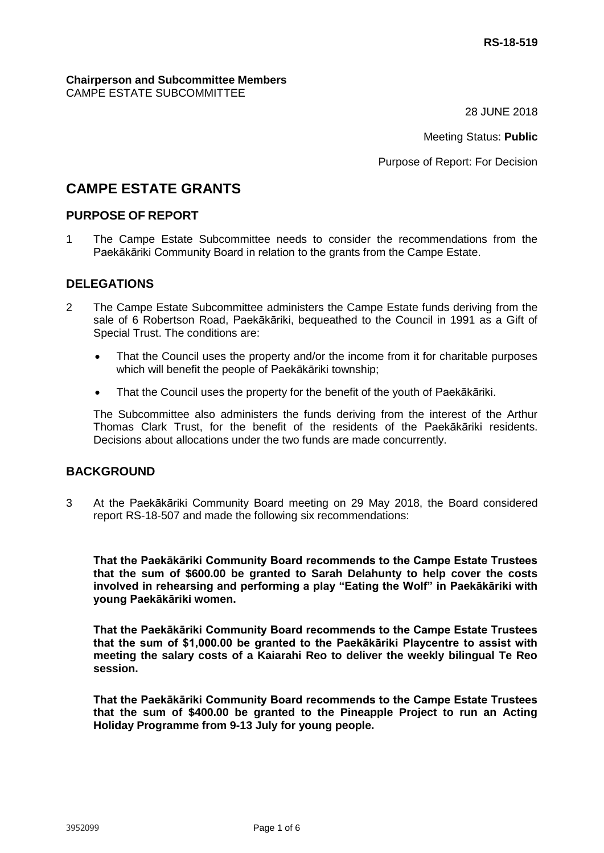#### **Chairperson and Subcommittee Members** CAMPE ESTATE SUBCOMMITTEE

28 JUNE 2018

Meeting Status: **Public**

Purpose of Report: For Decision

# **CAMPE ESTATE GRANTS**

## **PURPOSE OF REPORT**

1 The Campe Estate Subcommittee needs to consider the recommendations from the Paekākāriki Community Board in relation to the grants from the Campe Estate.

## **DELEGATIONS**

- 2 The Campe Estate Subcommittee administers the Campe Estate funds deriving from the sale of 6 Robertson Road, Paekākāriki, bequeathed to the Council in 1991 as a Gift of Special Trust. The conditions are:
	- That the Council uses the property and/or the income from it for charitable purposes which will benefit the people of Paekākāriki township;
	- That the Council uses the property for the benefit of the youth of Paekākāriki.

The Subcommittee also administers the funds deriving from the interest of the Arthur Thomas Clark Trust, for the benefit of the residents of the Paekākāriki residents. Decisions about allocations under the two funds are made concurrently.

## **BACKGROUND**

3 At the Paekākāriki Community Board meeting on 29 May 2018, the Board considered report RS-18-507 and made the following six recommendations:

**That the Paekākāriki Community Board recommends to the Campe Estate Trustees that the sum of \$600.00 be granted to Sarah Delahunty to help cover the costs involved in rehearsing and performing a play "Eating the Wolf" in Paekākāriki with young Paekākāriki women.**

**That the Paekākāriki Community Board recommends to the Campe Estate Trustees that the sum of \$1,000.00 be granted to the Paekākāriki Playcentre to assist with meeting the salary costs of a Kaiarahi Reo to deliver the weekly bilingual Te Reo session.**

**That the Paekākāriki Community Board recommends to the Campe Estate Trustees that the sum of \$400.00 be granted to the Pineapple Project to run an Acting Holiday Programme from 9-13 July for young people.**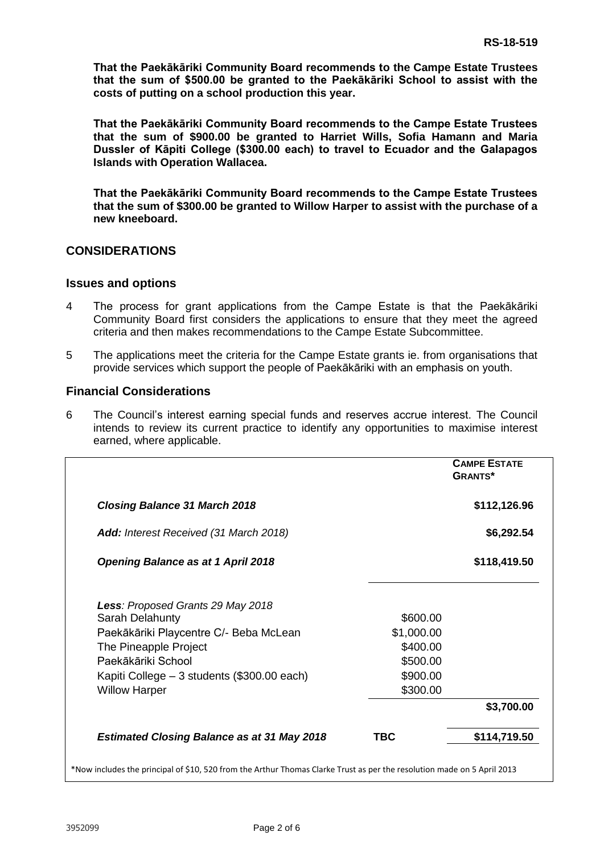**That the Paekākāriki Community Board recommends to the Campe Estate Trustees that the sum of \$500.00 be granted to the Paekākāriki School to assist with the costs of putting on a school production this year.**

**That the Paekākāriki Community Board recommends to the Campe Estate Trustees that the sum of \$900.00 be granted to Harriet Wills, Sofia Hamann and Maria Dussler of Kāpiti College (\$300.00 each) to travel to Ecuador and the Galapagos Islands with Operation Wallacea.** 

**That the Paekākāriki Community Board recommends to the Campe Estate Trustees that the sum of \$300.00 be granted to Willow Harper to assist with the purchase of a new kneeboard.**

## **CONSIDERATIONS**

#### **Issues and options**

- 4 The process for grant applications from the Campe Estate is that the Paekākāriki Community Board first considers the applications to ensure that they meet the agreed criteria and then makes recommendations to the Campe Estate Subcommittee.
- 5 The applications meet the criteria for the Campe Estate grants ie. from organisations that provide services which support the people of Paekākāriki with an emphasis on youth.

#### **Financial Considerations**

6 The Council's interest earning special funds and reserves accrue interest. The Council intends to review its current practice to identify any opportunities to maximise interest earned, where applicable.

|                                                                 |                        | <b>CAMPE ESTATE</b><br><b>GRANTS*</b> |
|-----------------------------------------------------------------|------------------------|---------------------------------------|
| <b>Closing Balance 31 March 2018</b>                            |                        | \$112,126.96                          |
| Add: Interest Received (31 March 2018)                          |                        | \$6,292.54                            |
| <b>Opening Balance as at 1 April 2018</b>                       |                        | \$118,419.50                          |
| Less: Proposed Grants 29 May 2018                               |                        |                                       |
| Sarah Delahunty                                                 | \$600.00               |                                       |
| Paekākāriki Playcentre C/- Beba McLean<br>The Pineapple Project | \$1,000.00<br>\$400.00 |                                       |
| Paekākāriki School                                              | \$500.00               |                                       |
| Kapiti College - 3 students (\$300.00 each)                     | \$900.00               |                                       |
| <b>Willow Harper</b>                                            | \$300.00               |                                       |
|                                                                 |                        | \$3,700.00                            |
| <b>Estimated Closing Balance as at 31 May 2018</b>              | <b>TBC</b>             | \$114,719.50                          |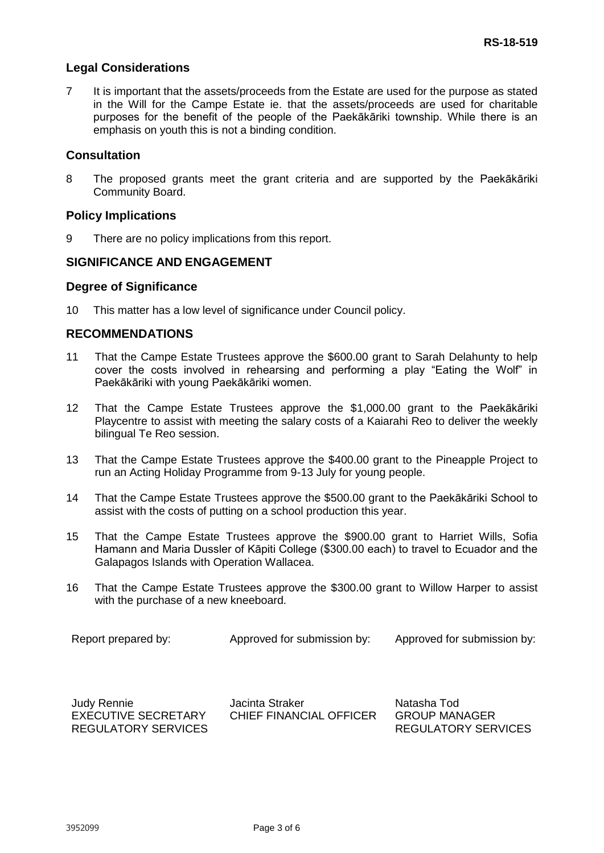#### **Legal Considerations**

7 It is important that the assets/proceeds from the Estate are used for the purpose as stated in the Will for the Campe Estate ie. that the assets/proceeds are used for charitable purposes for the benefit of the people of the Paekākāriki township. While there is an emphasis on youth this is not a binding condition.

#### **Consultation**

8 The proposed grants meet the grant criteria and are supported by the Paekākāriki Community Board.

#### **Policy Implications**

9 There are no policy implications from this report.

## **SIGNIFICANCE AND ENGAGEMENT**

#### **Degree of Significance**

10 This matter has a low level of significance under Council policy.

## **RECOMMENDATIONS**

- 11 That the Campe Estate Trustees approve the \$600.00 grant to Sarah Delahunty to help cover the costs involved in rehearsing and performing a play "Eating the Wolf" in Paekākāriki with young Paekākāriki women.
- 12 That the Campe Estate Trustees approve the \$1,000.00 grant to the Paekākāriki Playcentre to assist with meeting the salary costs of a Kaiarahi Reo to deliver the weekly bilingual Te Reo session.
- 13 That the Campe Estate Trustees approve the \$400.00 grant to the Pineapple Project to run an Acting Holiday Programme from 9-13 July for young people.
- 14 That the Campe Estate Trustees approve the \$500.00 grant to the Paekākāriki School to assist with the costs of putting on a school production this year.
- 15 That the Campe Estate Trustees approve the \$900.00 grant to Harriet Wills, Sofia Hamann and Maria Dussler of Kāpiti College (\$300.00 each) to travel to Ecuador and the Galapagos Islands with Operation Wallacea.
- 16 That the Campe Estate Trustees approve the \$300.00 grant to Willow Harper to assist with the purchase of a new kneeboard.

| Report prepared by:<br>Approved for submission by:<br>Approved for submission by: |
|-----------------------------------------------------------------------------------|
|-----------------------------------------------------------------------------------|

| <b>Judy Rennie</b>  | Jacinta Straker         | Natasha Tod          |
|---------------------|-------------------------|----------------------|
| EXECUTIVE SECRETARY | CHIEF FINANCIAL OFFICER | <b>GROUP MANAGER</b> |
| REGULATORY SERVICES |                         | REGULATORY SERVICES  |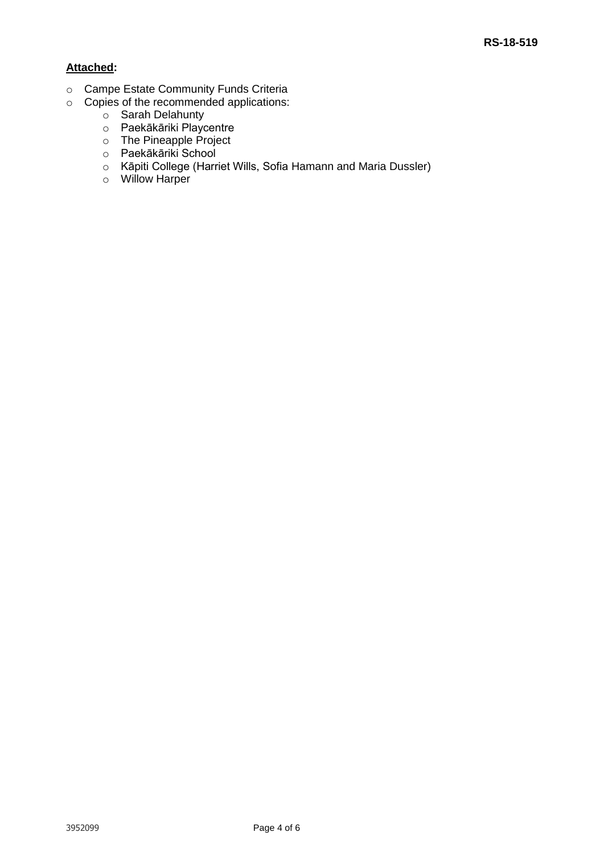## **Attached:**

- o Campe Estate Community Funds Criteria
- o Copies of the recommended applications:
	- o Sarah Delahunty
	- o Paekākāriki Playcentre
	- o The Pineapple Project
	- o Paekākāriki School
	- o Kāpiti College (Harriet Wills, Sofia Hamann and Maria Dussler)
	- o Willow Harper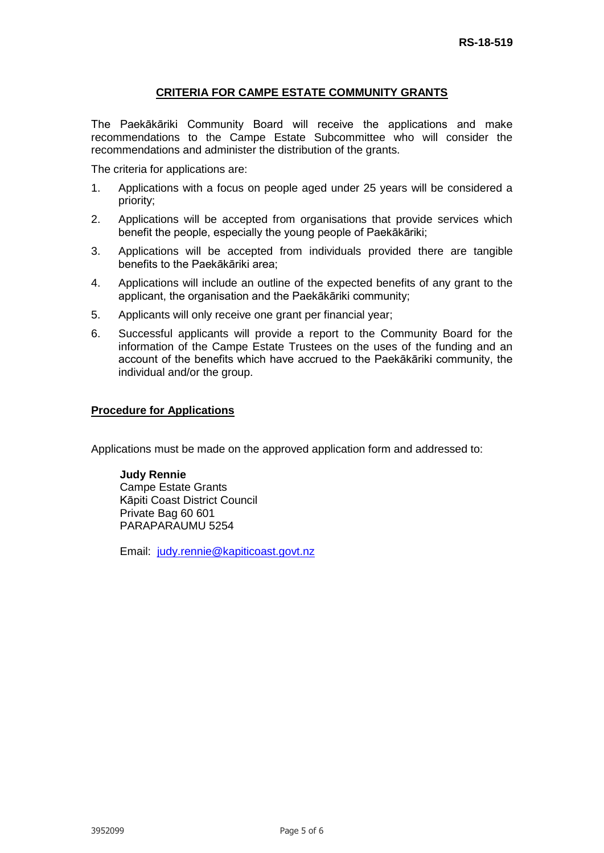## **CRITERIA FOR CAMPE ESTATE COMMUNITY GRANTS**

The Paekākāriki Community Board will receive the applications and make recommendations to the Campe Estate Subcommittee who will consider the recommendations and administer the distribution of the grants.

The criteria for applications are:

- 1. Applications with a focus on people aged under 25 years will be considered a priority;
- 2. Applications will be accepted from organisations that provide services which benefit the people, especially the young people of Paekākāriki;
- 3. Applications will be accepted from individuals provided there are tangible benefits to the Paekākāriki area;
- 4. Applications will include an outline of the expected benefits of any grant to the applicant, the organisation and the Paekākāriki community;
- 5. Applicants will only receive one grant per financial year;
- 6. Successful applicants will provide a report to the Community Board for the information of the Campe Estate Trustees on the uses of the funding and an account of the benefits which have accrued to the Paekākāriki community, the individual and/or the group.

#### **Procedure for Applications**

Applications must be made on the approved application form and addressed to:

#### **Judy Rennie** Campe Estate Grants Kāpiti Coast District Council Private Bag 60 601 PARAPARAUMU 5254

Email: [judy.rennie@kapiticoast.govt.nz](mailto:judy.rennie@kapiticoast.govt.nz)